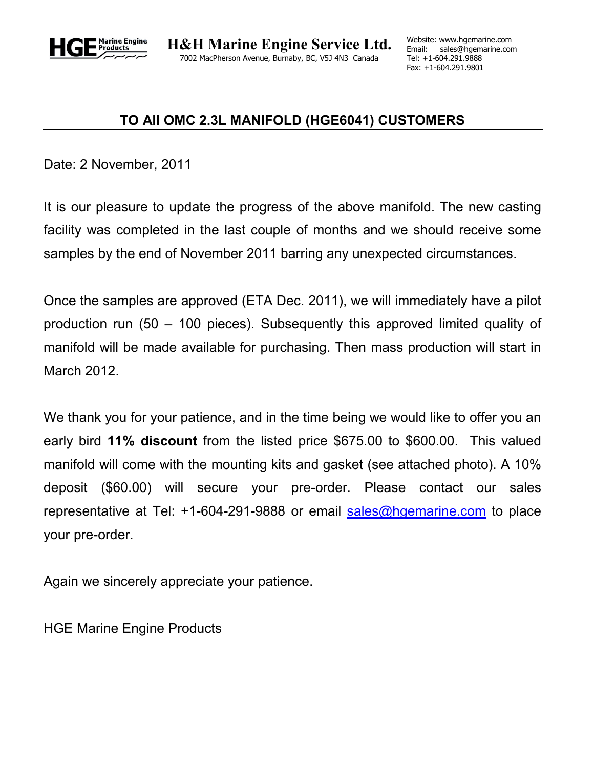

## **TO All OMC 2.3L MANIFOLD (HGE6041) CUSTOMERS**

Date: 2 November, 2011

It is our pleasure to update the progress of the above manifold. The new casting facility was completed in the last couple of months and we should receive some samples by the end of November 2011 barring any unexpected circumstances.

Once the samples are approved (ETA Dec. 2011), we will immediately have a pilot production run (50 – 100 pieces). Subsequently this approved limited quality of manifold will be made available for purchasing. Then mass production will start in March 2012.

We thank you for your patience, and in the time being we would like to offer you an early bird **11% discount** from the listed price \$675.00 to \$600.00. This valued manifold will come with the mounting kits and gasket (see attached photo). A 10% deposit (\$60.00) will secure your pre-order. Please contact our sales representative at Tel: +1-604-291-9888 or email sales@hgemarine.com to place your pre-order.

Again we sincerely appreciate your patience.

HGE Marine Engine Products